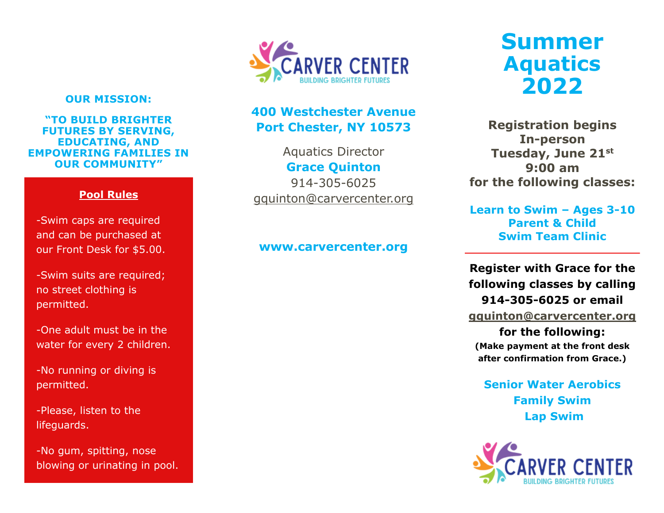### **OUR MISSION:**

**"TO BUILD BRIGHTER FUTURES BY SERVING, EDUCATING, AND EMPOWERING FAMILIES IN OUR COMMUNITY"**

### **Pool Rules**

-Swim caps are required and can be purchased at our Front Desk for \$5.00.

-Swim suits are required; no street clothing is permitted.

-One adult must be in the water for every 2 children.

-No running or diving is permitted.

-Please, listen to the lifeguards.

-No gum, spitting, nose blowing or urinating in pool.



### **400 Westchester Avenue Port Chester, NY 10573**

Aquatics Director **Grace Quinton** 914-305-6025 [gquinton@carvercenter.org](mailto:gquinton@carvercenter.org)

### **www.carvercenter.org**

# **Summer Aquatics 2022**

**Registration begins In-person Tuesday, June 21st 9:00 am for the following classes:**

**Learn to Swim – Ages 3-10 Parent & Child Swim Team Clinic**

**Register with Grace for the following classes by calling 914-305-6025 or email** 

**[gquinton@carvercenter.org](mailto:gquinton@carvercenter.org)**

**for the following: (Make payment at the front desk after confirmation from Grace.)**

**Senior Water Aerobics Family Swim Lap Swim**